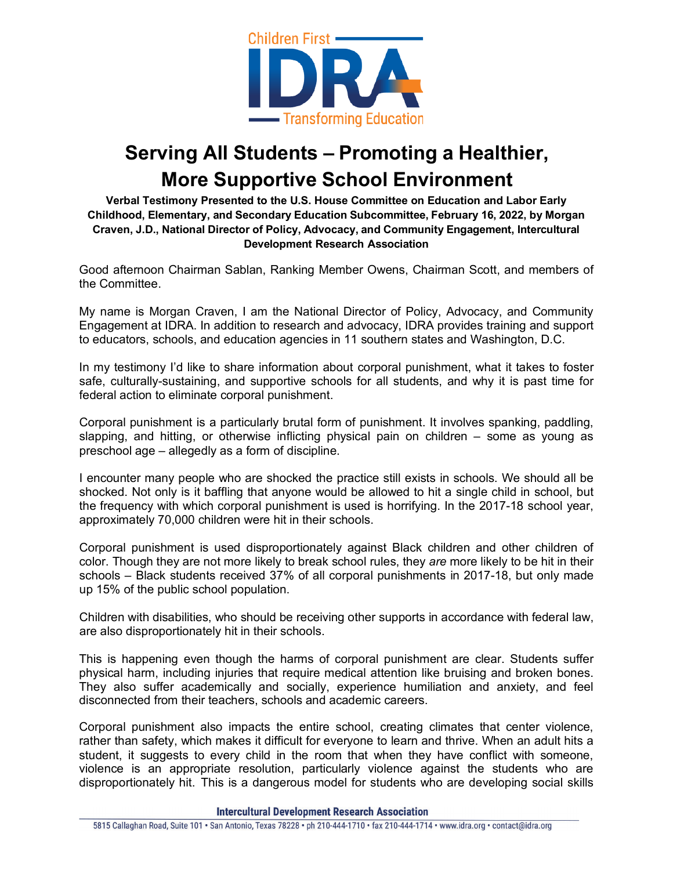

## **Serving All Students – Promoting a Healthier, More Supportive School Environment**

**Verbal Testimony Presented to the U.S. House Committee on Education and Labor Early Childhood, Elementary, and Secondary Education Subcommittee, February 16, 2022, by Morgan Craven, J.D., National Director of Policy, Advocacy, and Community Engagement, Intercultural Development Research Association**

Good afternoon Chairman Sablan, Ranking Member Owens, Chairman Scott, and members of the Committee.

My name is Morgan Craven, I am the National Director of Policy, Advocacy, and Community Engagement at IDRA. In addition to research and advocacy, IDRA provides training and support to educators, schools, and education agencies in 11 southern states and Washington, D.C.

In my testimony I'd like to share information about corporal punishment, what it takes to foster safe, culturally-sustaining, and supportive schools for all students, and why it is past time for federal action to eliminate corporal punishment.

Corporal punishment is a particularly brutal form of punishment. It involves spanking, paddling, slapping, and hitting, or otherwise inflicting physical pain on children – some as young as preschool age – allegedly as a form of discipline.

I encounter many people who are shocked the practice still exists in schools. We should all be shocked. Not only is it baffling that anyone would be allowed to hit a single child in school, but the frequency with which corporal punishment is used is horrifying. In the 2017-18 school year, approximately 70,000 children were hit in their schools.

Corporal punishment is used disproportionately against Black children and other children of color. Though they are not more likely to break school rules, they *are* more likely to be hit in their schools – Black students received 37% of all corporal punishments in 2017-18, but only made up 15% of the public school population.

Children with disabilities, who should be receiving other supports in accordance with federal law, are also disproportionately hit in their schools.

This is happening even though the harms of corporal punishment are clear. Students suffer physical harm, including injuries that require medical attention like bruising and broken bones. They also suffer academically and socially, experience humiliation and anxiety, and feel disconnected from their teachers, schools and academic careers.

Corporal punishment also impacts the entire school, creating climates that center violence, rather than safety, which makes it difficult for everyone to learn and thrive. When an adult hits a student, it suggests to every child in the room that when they have conflict with someone, violence is an appropriate resolution, particularly violence against the students who are disproportionately hit. This is a dangerous model for students who are developing social skills

**Intercultural Development Research Association**